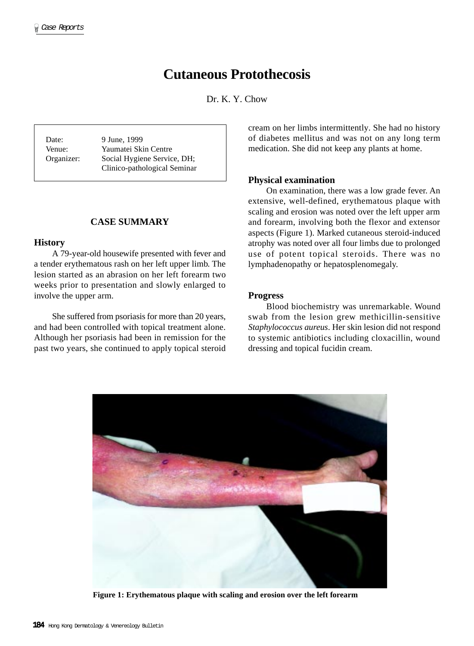# **Cutaneous Protothecosis**

Dr. K. Y. Chow

Date: 9 June, 1999 Venue: Yaumatei Skin Centre Organizer: Social Hygiene Service, DH; Clinico-pathological Seminar

## **CASE SUMMARY**

#### **History**

A 79-year-old housewife presented with fever and a tender erythematous rash on her left upper limb. The lesion started as an abrasion on her left forearm two weeks prior to presentation and slowly enlarged to involve the upper arm.

She suffered from psoriasis for more than 20 years, and had been controlled with topical treatment alone. Although her psoriasis had been in remission for the past two years, she continued to apply topical steroid

cream on her limbs intermittently. She had no history of diabetes mellitus and was not on any long term medication. She did not keep any plants at home.

# **Physical examination**

On examination, there was a low grade fever. An extensive, well-defined, erythematous plaque with scaling and erosion was noted over the left upper arm and forearm, involving both the flexor and extensor aspects (Figure 1). Marked cutaneous steroid-induced atrophy was noted over all four limbs due to prolonged use of potent topical steroids. There was no lymphadenopathy or hepatosplenomegaly.

# **Progress**

Blood biochemistry was unremarkable. Wound swab from the lesion grew methicillin-sensitive *Staphylococcus aureus*. Her skin lesion did not respond to systemic antibiotics including cloxacillin, wound dressing and topical fucidin cream.



**Figure 1: Erythematous plaque with scaling and erosion over the left forearm**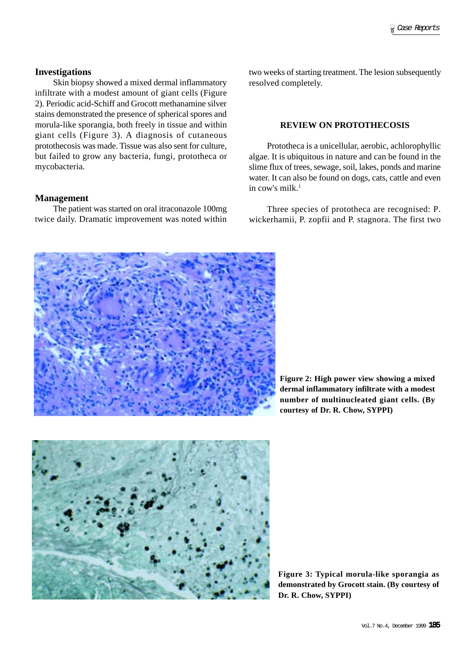# **Investigations**

Skin biopsy showed a mixed dermal inflammatory infiltrate with a modest amount of giant cells (Figure 2). Periodic acid-Schiff and Grocott methanamine silver stains demonstrated the presence of spherical spores and morula-like sporangia, both freely in tissue and within giant cells (Figure 3). A diagnosis of cutaneous protothecosis was made. Tissue was also sent for culture, but failed to grow any bacteria, fungi, prototheca or mycobacteria.

#### **Management**

The patient was started on oral itraconazole 100mg twice daily. Dramatic improvement was noted within

two weeks of starting treatment. The lesion subsequently resolved completely.

## **REVIEW ON PROTOTHECOSIS**

Prototheca is a unicellular, aerobic, achlorophyllic algae. It is ubiquitous in nature and can be found in the slime flux of trees, sewage, soil, lakes, ponds and marine water. It can also be found on dogs, cats, cattle and even in cow's milk  $<sup>1</sup>$ </sup>

Three species of prototheca are recognised: P. wickerhamii, P. zopfii and P. stagnora. The first two



**Figure 2: High power view showing a mixed dermal inflammatory infiltrate with a modest number of multinucleated giant cells. (By courtesy of Dr. R. Chow, SYPPI)**



**Figure 3: Typical morula-like sporangia as demonstrated by Grocott stain. (By courtesy of Dr. R. Chow, SYPPI)**